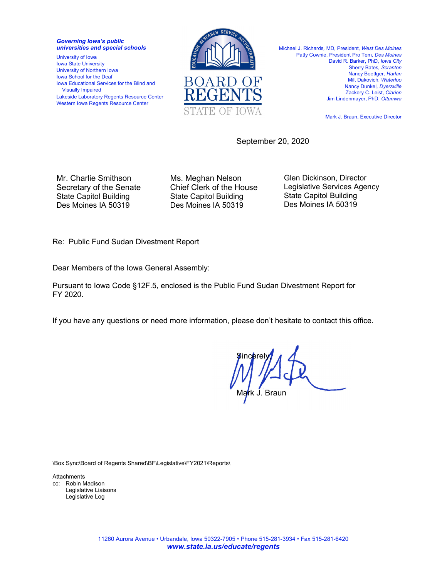*Governing Iowa's public universities and special schools* 

University of Iowa Iowa State University University of Northern Iowa Iowa School for the Deaf Iowa Educational Services for the Blind and Visually Impaired Lakeside Laboratory Regents Resource Center Western Iowa Regents Resource Center



Michael J. Richards*,* MD, President*, West Des Moines*  Patty Cownie, President Pro Tem, *Des Moines*  David R. Barker, PhD, *Iowa City* Sherry Bates*, Scranton*  Nancy Boettger*, Harlan*  Milt Dakovich, *Waterloo*  Nancy Dunkel*, Dyersville*  Zackery C. Leist, *Clarion*  Jim Lindenmayer, PhD, *Ottumwa* 

Mark J. Braun, Executive Director

September 20, 2020

Mr. Charlie Smithson Secretary of the Senate State Capitol Building Des Moines IA 50319

Ms. Meghan Nelson Chief Clerk of the House State Capitol Building Des Moines IA 50319

Glen Dickinson, Director Legislative Services Agency State Capitol Building Des Moines IA 50319

Re: Public Fund Sudan Divestment Report

Dear Members of the Iowa General Assembly:

Pursuant to Iowa Code §12F.5, enclosed is the Public Fund Sudan Divestment Report for FY 2020.

If you have any questions or need more information, please don't hesitate to contact this office.

**Sincerely** Ma<mark>r</mark>k J. Braun

\Box Sync\Board of Regents Shared\BF\Legislative\FY2021\Reports\

Attachments cc: Robin Madison Legislative Liaisons Legislative Log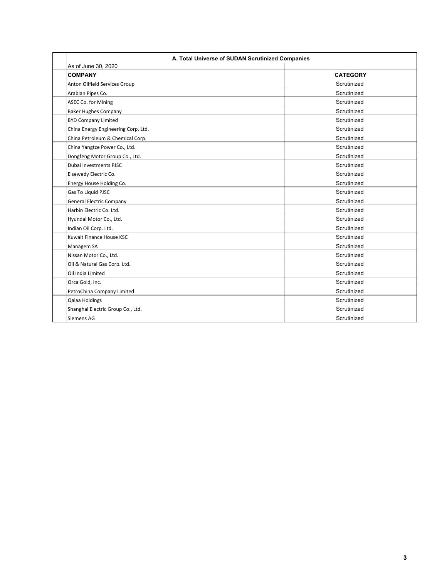| A. Total Universe of SUDAN Scrutinized Companies |                 |  |  |  |  |  |
|--------------------------------------------------|-----------------|--|--|--|--|--|
| As of June 30, 2020                              |                 |  |  |  |  |  |
| <b>COMPANY</b>                                   | <b>CATEGORY</b> |  |  |  |  |  |
| Anton Oilfield Services Group                    | Scrutinized     |  |  |  |  |  |
| Arabian Pipes Co.                                | Scrutinized     |  |  |  |  |  |
| ASEC Co. for Mining                              | Scrutinized     |  |  |  |  |  |
| <b>Baker Hughes Company</b>                      | Scrutinized     |  |  |  |  |  |
| <b>BYD Company Limited</b>                       | Scrutinized     |  |  |  |  |  |
| China Energy Engineering Corp. Ltd.              | Scrutinized     |  |  |  |  |  |
| China Petroleum & Chemical Corp.                 | Scrutinized     |  |  |  |  |  |
| China Yangtze Power Co., Ltd.                    | Scrutinized     |  |  |  |  |  |
| Dongfeng Motor Group Co., Ltd.                   | Scrutinized     |  |  |  |  |  |
| Dubai Investments PJSC                           | Scrutinized     |  |  |  |  |  |
| Elsewedy Electric Co.                            | Scrutinized     |  |  |  |  |  |
| Energy House Holding Co.                         | Scrutinized     |  |  |  |  |  |
| Gas To Liquid PJSC                               | Scrutinized     |  |  |  |  |  |
| <b>General Electric Company</b>                  | Scrutinized     |  |  |  |  |  |
| Harbin Electric Co. Ltd.                         | Scrutinized     |  |  |  |  |  |
| Hyundai Motor Co., Ltd.                          | Scrutinized     |  |  |  |  |  |
| Indian Oil Corp. Ltd.                            | Scrutinized     |  |  |  |  |  |
| Kuwait Finance House KSC                         | Scrutinized     |  |  |  |  |  |
| Managem SA                                       | Scrutinized     |  |  |  |  |  |
| Nissan Motor Co., Ltd.                           | Scrutinized     |  |  |  |  |  |
| Oil & Natural Gas Corp. Ltd.                     | Scrutinized     |  |  |  |  |  |
| Oil India Limited                                | Scrutinized     |  |  |  |  |  |
| Orca Gold, Inc.                                  | Scrutinized     |  |  |  |  |  |
| PetroChina Company Limited                       | Scrutinized     |  |  |  |  |  |
| Qalaa Holdings                                   | Scrutinized     |  |  |  |  |  |
| Shanghai Electric Group Co., Ltd.                | Scrutinized     |  |  |  |  |  |
| Siemens AG                                       | Scrutinized     |  |  |  |  |  |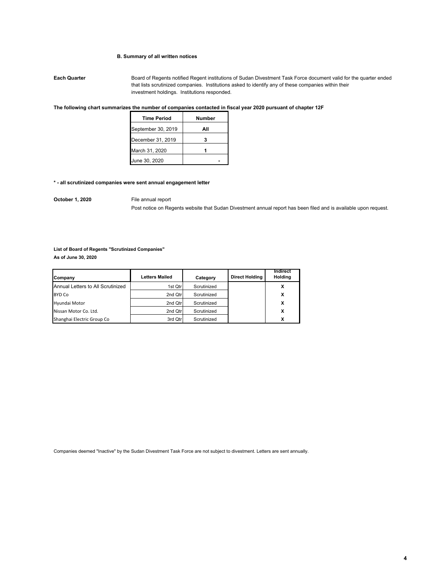## **B. Summary of all written notices**

**Each Quarter** Board of Regents notified Regent institutions of Sudan Divestment Task Force document valid for the quarter ended that lists scrutinized companies. Institutions asked to identify any of these companies within their investment holdings. Institutions responded.

## **The following chart summarizes the number of companies contacted in fiscal year 2020 pursuant of chapter 12F**

| <b>Time Period</b> | Number |
|--------------------|--------|
| September 30, 2019 | Αll    |
| December 31, 2019  |        |
| March 31, 2020     |        |
| June 30, 2020      |        |

#### **\* - all scrutinized companies were sent annual engagement letter**

**October 1, 2020** File annual report

Post notice on Regents website that Sudan Divestment annual report has been filed and is available upon request.

# **List of Board of Regents "Scrutinized Companies"**

**As of June 30, 2020**

| Company                           | <b>Letters Mailed</b> | Category    | <b>Direct Holding</b> | Indirect<br><b>Holding</b> |
|-----------------------------------|-----------------------|-------------|-----------------------|----------------------------|
| Annual Letters to All Scrutinized | 1st Qtr               | Scrutinized |                       | x                          |
| <b>BYD Co</b>                     | 2nd Qtrl              | Scrutinized |                       | x                          |
| Hyundai Motor                     | 2nd Qtrl              | Scrutinized |                       | x                          |
| Nissan Motor Co. Ltd.             | 2nd Qtrl              | Scrutinized |                       | x                          |
| Shanghai Electric Group Co        | 3rd Qtr               | Scrutinized |                       | x                          |

Companies deemed "Inactive" by the Sudan Divestment Task Force are not subject to divestment. Letters are sent annually.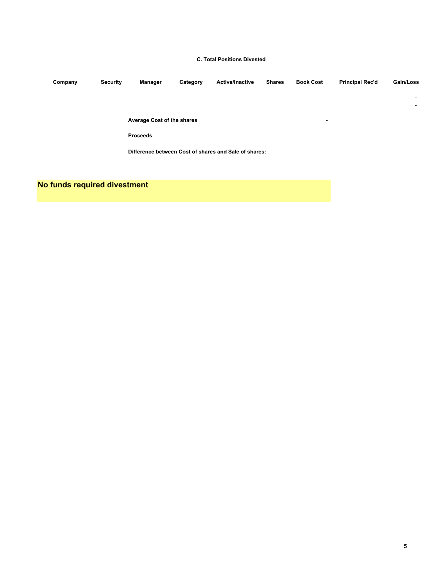# **C. Total Positions Divested**

| Company | <b>Security</b> | Manager                           | Category | <b>Active/Inactive</b>                                | <b>Shares</b> | <b>Book Cost</b> | <b>Principal Rec'd</b> | Gain/Loss                |
|---------|-----------------|-----------------------------------|----------|-------------------------------------------------------|---------------|------------------|------------------------|--------------------------|
|         |                 |                                   |          |                                                       |               |                  |                        | $\overline{\phantom{0}}$ |
|         |                 |                                   |          |                                                       |               |                  |                        | $\sim$                   |
|         |                 | <b>Average Cost of the shares</b> |          |                                                       |               | $\blacksquare$   |                        |                          |
|         |                 | <b>Proceeds</b>                   |          |                                                       |               |                  |                        |                          |
|         |                 |                                   |          | Difference between Cost of shares and Sale of shares: |               |                  |                        |                          |

**No funds required divestment**